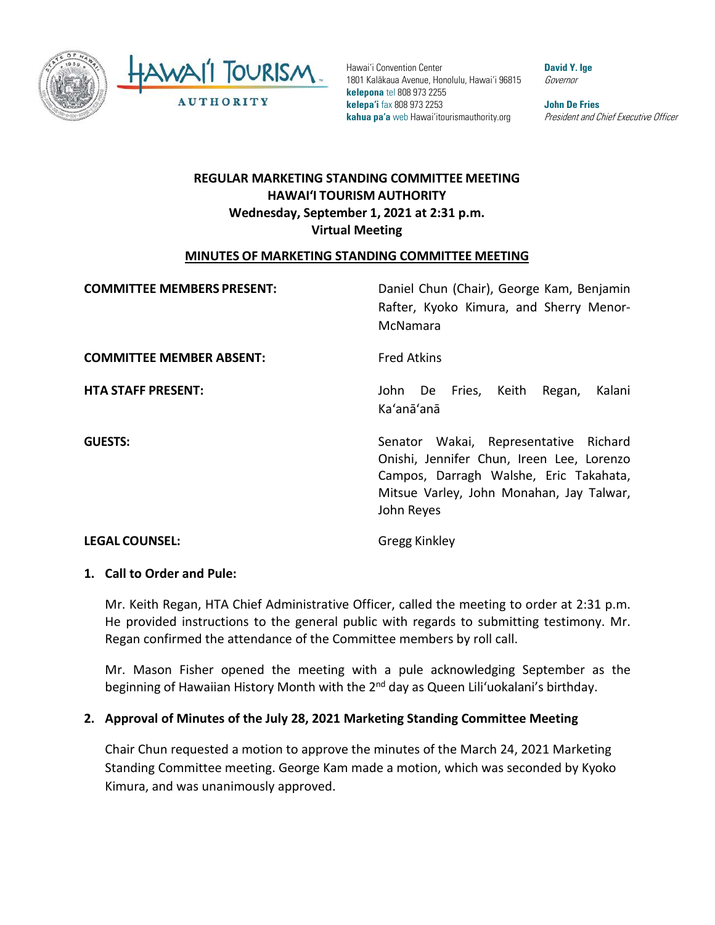



Hawai'i Convention Center 1801 Kalākaua Avenue, Honolulu, Hawai'i 96815 **kelepona** tel 808 973 2255 **kelepa'i** fax 808 973 2253 **kahua pa'a** web Hawai'itourismauthority.org

**David Y. Ige** Governor

**John De Fries** President and Chief Executive Officer

# **REGULAR MARKETING STANDING COMMITTEE MEETING HAWAI'I TOURISM AUTHORITY Wednesday, September 1, 2021 at 2:31 p.m. Virtual Meeting**

## **MINUTES OF MARKETING STANDING COMMITTEE MEETING**

| <b>COMMITTEE MEMBERS PRESENT:</b> | Daniel Chun (Chair), George Kam, Benjamin<br>Rafter, Kyoko Kimura, and Sherry Menor-<br>McNamara                                                                                       |
|-----------------------------------|----------------------------------------------------------------------------------------------------------------------------------------------------------------------------------------|
| <b>COMMITTEE MEMBER ABSENT:</b>   | <b>Fred Atkins</b>                                                                                                                                                                     |
| <b>HTA STAFF PRESENT:</b>         | Kalani<br>Fries,<br>Keith<br>Regan,<br>John<br>De<br>Ka'anā'anā                                                                                                                        |
| <b>GUESTS:</b>                    | Senator Wakai, Representative Richard<br>Onishi, Jennifer Chun, Ireen Lee, Lorenzo<br>Campos, Darragh Walshe, Eric Takahata,<br>Mitsue Varley, John Monahan, Jay Talwar,<br>John Reyes |

# **LEGAL COUNSEL:** Gregg Kinkley

## **1. Call to Order and Pule:**

Mr. Keith Regan, HTA Chief Administrative Officer, called the meeting to order at 2:31 p.m. He provided instructions to the general public with regards to submitting testimony. Mr. Regan confirmed the attendance of the Committee members by roll call.

Mr. Mason Fisher opened the meeting with a pule acknowledging September as the beginning of Hawaiian History Month with the 2<sup>nd</sup> day as Queen Lili'uokalani's birthday.

## **2. Approval of Minutes of the July 28, 2021 Marketing Standing Committee Meeting**

Chair Chun requested a motion to approve the minutes of the March 24, 2021 Marketing Standing Committee meeting. George Kam made a motion, which was seconded by Kyoko Kimura, and was unanimously approved.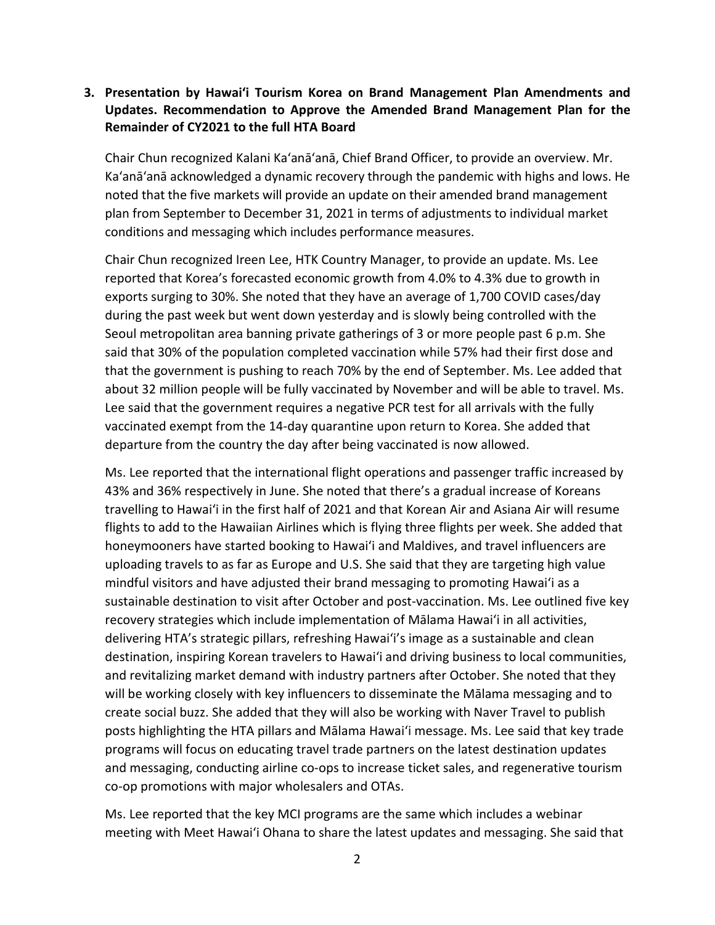## **3. Presentation by Hawai'i Tourism Korea on Brand Management Plan Amendments and Updates. Recommendation to Approve the Amended Brand Management Plan for the Remainder of CY2021 to the full HTA Board**

Chair Chun recognized Kalani Ka'anā'anā, Chief Brand Officer, to provide an overview. Mr. Ka'anā'anā acknowledged a dynamic recovery through the pandemic with highs and lows. He noted that the five markets will provide an update on their amended brand management plan from September to December 31, 2021 in terms of adjustments to individual market conditions and messaging which includes performance measures.

Chair Chun recognized Ireen Lee, HTK Country Manager, to provide an update. Ms. Lee reported that Korea's forecasted economic growth from 4.0% to 4.3% due to growth in exports surging to 30%. She noted that they have an average of 1,700 COVID cases/day during the past week but went down yesterday and is slowly being controlled with the Seoul metropolitan area banning private gatherings of 3 or more people past 6 p.m. She said that 30% of the population completed vaccination while 57% had their first dose and that the government is pushing to reach 70% by the end of September. Ms. Lee added that about 32 million people will be fully vaccinated by November and will be able to travel. Ms. Lee said that the government requires a negative PCR test for all arrivals with the fully vaccinated exempt from the 14-day quarantine upon return to Korea. She added that departure from the country the day after being vaccinated is now allowed.

Ms. Lee reported that the international flight operations and passenger traffic increased by 43% and 36% respectively in June. She noted that there's a gradual increase of Koreans travelling to Hawaiʻi in the first half of 2021 and that Korean Air and Asiana Air will resume flights to add to the Hawaiian Airlines which is flying three flights per week. She added that honeymooners have started booking to Hawaiʻi and Maldives, and travel influencers are uploading travels to as far as Europe and U.S. She said that they are targeting high value mindful visitors and have adjusted their brand messaging to promoting Hawaiʻi as a sustainable destination to visit after October and post-vaccination. Ms. Lee outlined five key recovery strategies which include implementation of Mālama Hawaiʻi in all activities, delivering HTA's strategic pillars, refreshing Hawaiʻi's image as a sustainable and clean destination, inspiring Korean travelers to Hawaiʻi and driving business to local communities, and revitalizing market demand with industry partners after October. She noted that they will be working closely with key influencers to disseminate the Mālama messaging and to create social buzz. She added that they will also be working with Naver Travel to publish posts highlighting the HTA pillars and Mālama Hawaiʻi message. Ms. Lee said that key trade programs will focus on educating travel trade partners on the latest destination updates and messaging, conducting airline co-ops to increase ticket sales, and regenerative tourism co-op promotions with major wholesalers and OTAs.

Ms. Lee reported that the key MCI programs are the same which includes a webinar meeting with Meet Hawaiʻi Ohana to share the latest updates and messaging. She said that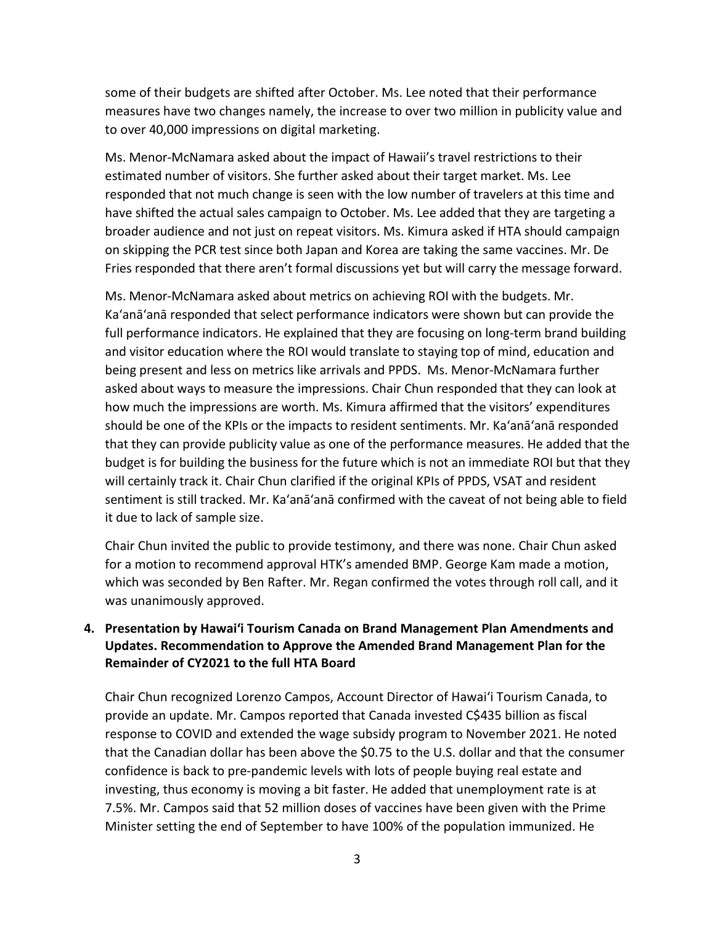some of their budgets are shifted after October. Ms. Lee noted that their performance measures have two changes namely, the increase to over two million in publicity value and to over 40,000 impressions on digital marketing.

Ms. Menor-McNamara asked about the impact of Hawaii's travel restrictions to their estimated number of visitors. She further asked about their target market. Ms. Lee responded that not much change is seen with the low number of travelers at this time and have shifted the actual sales campaign to October. Ms. Lee added that they are targeting a broader audience and not just on repeat visitors. Ms. Kimura asked if HTA should campaign on skipping the PCR test since both Japan and Korea are taking the same vaccines. Mr. De Fries responded that there aren't formal discussions yet but will carry the message forward.

Ms. Menor-McNamara asked about metrics on achieving ROI with the budgets. Mr. Ka'anā'anā responded that select performance indicators were shown but can provide the full performance indicators. He explained that they are focusing on long-term brand building and visitor education where the ROI would translate to staying top of mind, education and being present and less on metrics like arrivals and PPDS. Ms. Menor-McNamara further asked about ways to measure the impressions. Chair Chun responded that they can look at how much the impressions are worth. Ms. Kimura affirmed that the visitors' expenditures should be one of the KPIs or the impacts to resident sentiments. Mr. Ka'anā'anā responded that they can provide publicity value as one of the performance measures. He added that the budget is for building the business for the future which is not an immediate ROI but that they will certainly track it. Chair Chun clarified if the original KPIs of PPDS, VSAT and resident sentiment is still tracked. Mr. Ka'anā'anā confirmed with the caveat of not being able to field it due to lack of sample size.

Chair Chun invited the public to provide testimony, and there was none. Chair Chun asked for a motion to recommend approval HTK's amended BMP. George Kam made a motion, which was seconded by Ben Rafter. Mr. Regan confirmed the votes through roll call, and it was unanimously approved.

## **4. Presentation by Hawai'i Tourism Canada on Brand Management Plan Amendments and Updates. Recommendation to Approve the Amended Brand Management Plan for the Remainder of CY2021 to the full HTA Board**

Chair Chun recognized Lorenzo Campos, Account Director of Hawai'i Tourism Canada, to provide an update. Mr. Campos reported that Canada invested C\$435 billion as fiscal response to COVID and extended the wage subsidy program to November 2021. He noted that the Canadian dollar has been above the \$0.75 to the U.S. dollar and that the consumer confidence is back to pre-pandemic levels with lots of people buying real estate and investing, thus economy is moving a bit faster. He added that unemployment rate is at 7.5%. Mr. Campos said that 52 million doses of vaccines have been given with the Prime Minister setting the end of September to have 100% of the population immunized. He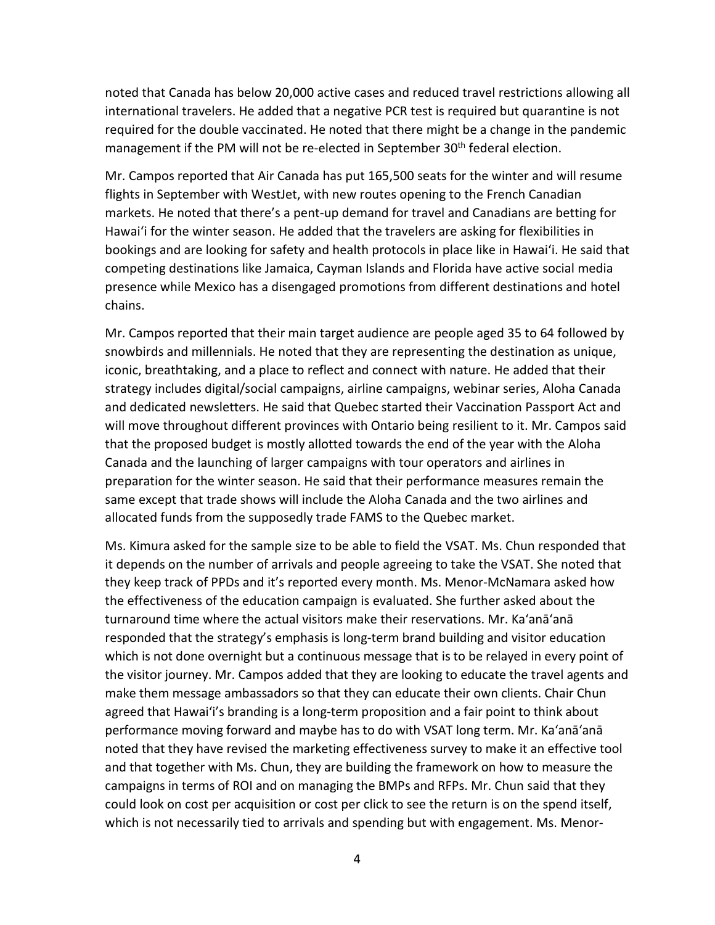noted that Canada has below 20,000 active cases and reduced travel restrictions allowing all international travelers. He added that a negative PCR test is required but quarantine is not required for the double vaccinated. He noted that there might be a change in the pandemic management if the PM will not be re-elected in September 30<sup>th</sup> federal election.

Mr. Campos reported that Air Canada has put 165,500 seats for the winter and will resume flights in September with WestJet, with new routes opening to the French Canadian markets. He noted that there's a pent-up demand for travel and Canadians are betting for Hawaiʻi for the winter season. He added that the travelers are asking for flexibilities in bookings and are looking for safety and health protocols in place like in Hawaiʻi. He said that competing destinations like Jamaica, Cayman Islands and Florida have active social media presence while Mexico has a disengaged promotions from different destinations and hotel chains.

Mr. Campos reported that their main target audience are people aged 35 to 64 followed by snowbirds and millennials. He noted that they are representing the destination as unique, iconic, breathtaking, and a place to reflect and connect with nature. He added that their strategy includes digital/social campaigns, airline campaigns, webinar series, Aloha Canada and dedicated newsletters. He said that Quebec started their Vaccination Passport Act and will move throughout different provinces with Ontario being resilient to it. Mr. Campos said that the proposed budget is mostly allotted towards the end of the year with the Aloha Canada and the launching of larger campaigns with tour operators and airlines in preparation for the winter season. He said that their performance measures remain the same except that trade shows will include the Aloha Canada and the two airlines and allocated funds from the supposedly trade FAMS to the Quebec market.

Ms. Kimura asked for the sample size to be able to field the VSAT. Ms. Chun responded that it depends on the number of arrivals and people agreeing to take the VSAT. She noted that they keep track of PPDs and it's reported every month. Ms. Menor-McNamara asked how the effectiveness of the education campaign is evaluated. She further asked about the turnaround time where the actual visitors make their reservations. Mr. Ka'anā'anā responded that the strategy's emphasis is long-term brand building and visitor education which is not done overnight but a continuous message that is to be relayed in every point of the visitor journey. Mr. Campos added that they are looking to educate the travel agents and make them message ambassadors so that they can educate their own clients. Chair Chun agreed that Hawaiʻi's branding is a long-term proposition and a fair point to think about performance moving forward and maybe has to do with VSAT long term. Mr. Ka'anā'anā noted that they have revised the marketing effectiveness survey to make it an effective tool and that together with Ms. Chun, they are building the framework on how to measure the campaigns in terms of ROI and on managing the BMPs and RFPs. Mr. Chun said that they could look on cost per acquisition or cost per click to see the return is on the spend itself, which is not necessarily tied to arrivals and spending but with engagement. Ms. Menor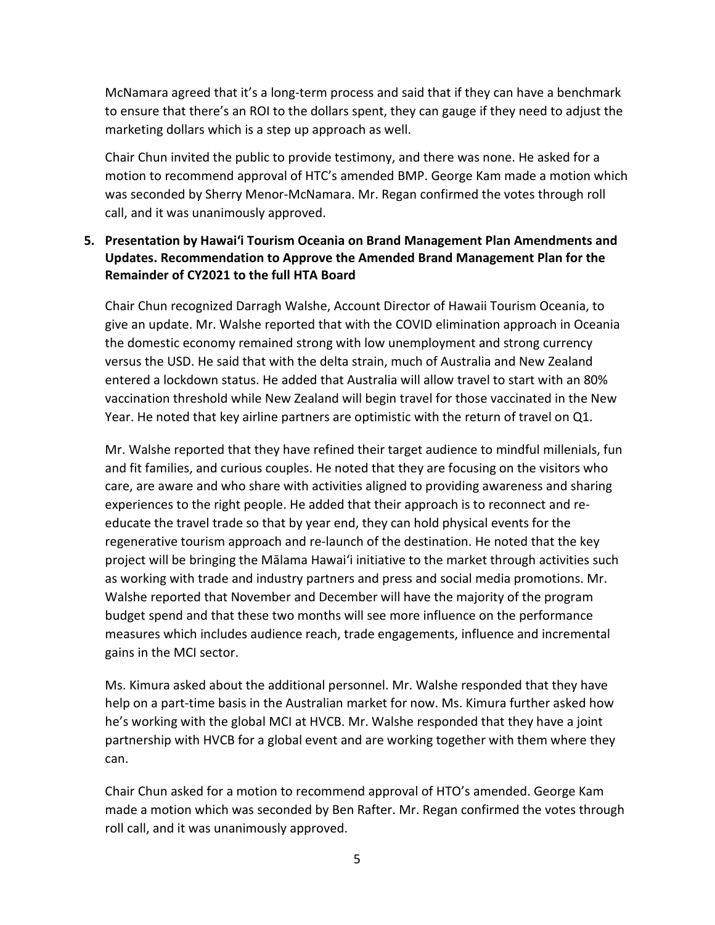McNamara agreed that it's a long-term process and said that if they can have a benchmark to ensure that there's an ROI to the dollars spent, they can gauge if they need to adjust the marketing dollars which is a step up approach as well.

Chair Chun invited the public to provide testimony, and there was none. He asked for a motion to recommend approval of HTC's amended BMP. George Kam made a motion which was seconded by Sherry Menor-McNamara. Mr. Regan confirmed the votes through roll call, and it was unanimously approved.

## **5. Presentation by Hawai'i Tourism Oceania on Brand Management Plan Amendments and Updates. Recommendation to Approve the Amended Brand Management Plan for the Remainder of CY2021 to the full HTA Board**

Chair Chun recognized Darragh Walshe, Account Director of Hawaii Tourism Oceania, to give an update. Mr. Walshe reported that with the COVID elimination approach in Oceania the domestic economy remained strong with low unemployment and strong currency versus the USD. He said that with the delta strain, much of Australia and New Zealand entered a lockdown status. He added that Australia will allow travel to start with an 80% vaccination threshold while New Zealand will begin travel for those vaccinated in the New Year. He noted that key airline partners are optimistic with the return of travel on Q1.

Mr. Walshe reported that they have refined their target audience to mindful millenials, fun and fit families, and curious couples. He noted that they are focusing on the visitors who care, are aware and who share with activities aligned to providing awareness and sharing experiences to the right people. He added that their approach is to reconnect and reeducate the travel trade so that by year end, they can hold physical events for the regenerative tourism approach and re-launch of the destination. He noted that the key project will be bringing the Mālama Hawaiʻi initiative to the market through activities such as working with trade and industry partners and press and social media promotions. Mr. Walshe reported that November and December will have the majority of the program budget spend and that these two months will see more influence on the performance measures which includes audience reach, trade engagements, influence and incremental gains in the MCI sector.

Ms. Kimura asked about the additional personnel. Mr. Walshe responded that they have help on a part-time basis in the Australian market for now. Ms. Kimura further asked how he's working with the global MCI at HVCB. Mr. Walshe responded that they have a joint partnership with HVCB for a global event and are working together with them where they can.

Chair Chun asked for a motion to recommend approval of HTO's amended. George Kam made a motion which was seconded by Ben Rafter. Mr. Regan confirmed the votes through roll call, and it was unanimously approved.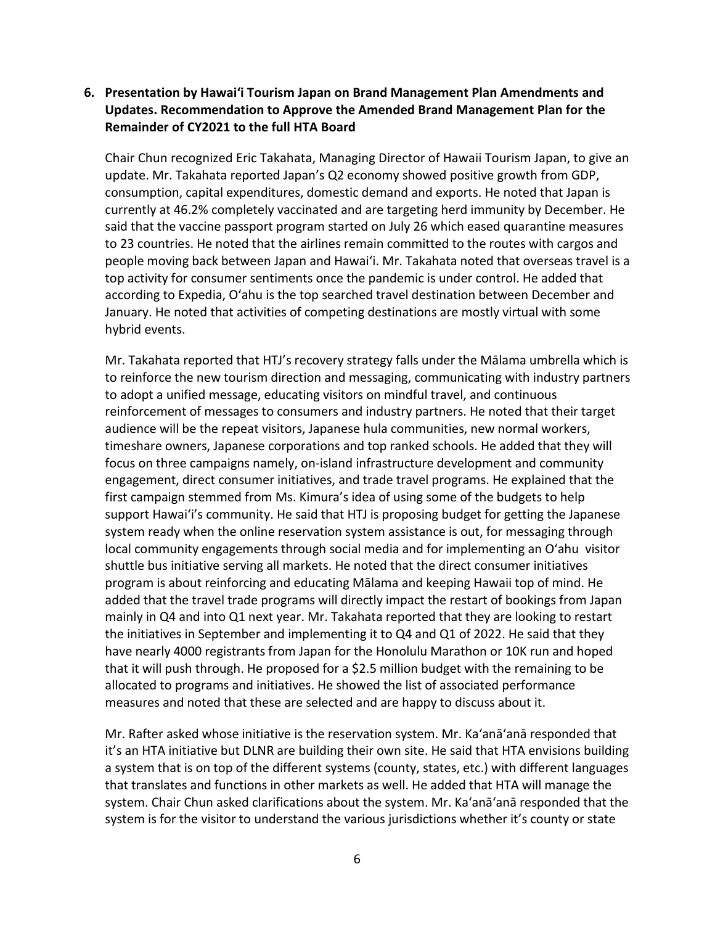## **6. Presentation by Hawai'i Tourism Japan on Brand Management Plan Amendments and Updates. Recommendation to Approve the Amended Brand Management Plan for the Remainder of CY2021 to the full HTA Board**

Chair Chun recognized Eric Takahata, Managing Director of Hawaii Tourism Japan, to give an update. Mr. Takahata reported Japan's Q2 economy showed positive growth from GDP, consumption, capital expenditures, domestic demand and exports. He noted that Japan is currently at 46.2% completely vaccinated and are targeting herd immunity by December. He said that the vaccine passport program started on July 26 which eased quarantine measures to 23 countries. He noted that the airlines remain committed to the routes with cargos and people moving back between Japan and Hawaiʻi. Mr. Takahata noted that overseas travel is a top activity for consumer sentiments once the pandemic is under control. He added that according to Expedia, O'ahu is the top searched travel destination between December and January. He noted that activities of competing destinations are mostly virtual with some hybrid events.

Mr. Takahata reported that HTJ's recovery strategy falls under the Mālama umbrella which is to reinforce the new tourism direction and messaging, communicating with industry partners to adopt a unified message, educating visitors on mindful travel, and continuous reinforcement of messages to consumers and industry partners. He noted that their target audience will be the repeat visitors, Japanese hula communities, new normal workers, timeshare owners, Japanese corporations and top ranked schools. He added that they will focus on three campaigns namely, on-island infrastructure development and community engagement, direct consumer initiatives, and trade travel programs. He explained that the first campaign stemmed from Ms. Kimura's idea of using some of the budgets to help support Hawaiʻi's community. He said that HTJ is proposing budget for getting the Japanese system ready when the online reservation system assistance is out, for messaging through local community engagements through social media and for implementing an O'ahu visitor shuttle bus initiative serving all markets. He noted that the direct consumer initiatives program is about reinforcing and educating Mālama and keeping Hawaii top of mind. He added that the travel trade programs will directly impact the restart of bookings from Japan mainly in Q4 and into Q1 next year. Mr. Takahata reported that they are looking to restart the initiatives in September and implementing it to Q4 and Q1 of 2022. He said that they have nearly 4000 registrants from Japan for the Honolulu Marathon or 10K run and hoped that it will push through. He proposed for a \$2.5 million budget with the remaining to be allocated to programs and initiatives. He showed the list of associated performance measures and noted that these are selected and are happy to discuss about it.

Mr. Rafter asked whose initiative is the reservation system. Mr. Ka'anā'anā responded that it's an HTA initiative but DLNR are building their own site. He said that HTA envisions building a system that is on top of the different systems (county, states, etc.) with different languages that translates and functions in other markets as well. He added that HTA will manage the system. Chair Chun asked clarifications about the system. Mr. Ka'anā'anā responded that the system is for the visitor to understand the various jurisdictions whether it's county or state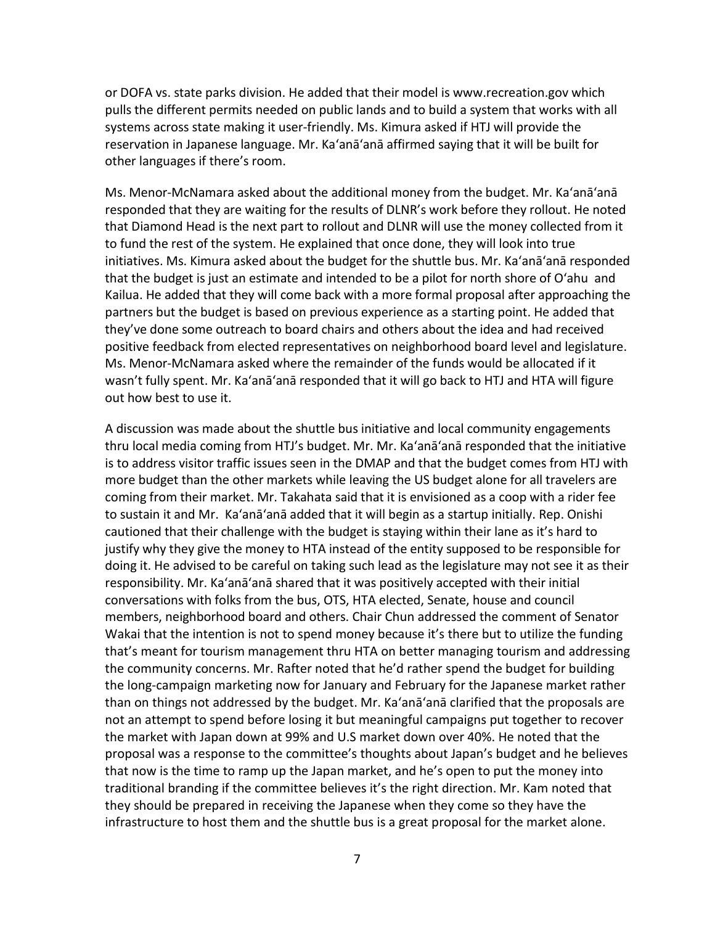or DOFA vs. state parks division. He added that their model is www.recreation.gov which pulls the different permits needed on public lands and to build a system that works with all systems across state making it user-friendly. Ms. Kimura asked if HTJ will provide the reservation in Japanese language. Mr. Ka'anā'anā affirmed saying that it will be built for other languages if there's room.

Ms. Menor-McNamara asked about the additional money from the budget. Mr. Ka'anā'anā responded that they are waiting for the results of DLNR's work before they rollout. He noted that Diamond Head is the next part to rollout and DLNR will use the money collected from it to fund the rest of the system. He explained that once done, they will look into true initiatives. Ms. Kimura asked about the budget for the shuttle bus. Mr. Ka'anā'anā responded that the budget is just an estimate and intended to be a pilot for north shore of O'ahu and Kailua. He added that they will come back with a more formal proposal after approaching the partners but the budget is based on previous experience as a starting point. He added that they've done some outreach to board chairs and others about the idea and had received positive feedback from elected representatives on neighborhood board level and legislature. Ms. Menor-McNamara asked where the remainder of the funds would be allocated if it wasn't fully spent. Mr. Ka'anā'anā responded that it will go back to HTJ and HTA will figure out how best to use it.

A discussion was made about the shuttle bus initiative and local community engagements thru local media coming from HTJ's budget. Mr. Mr. Ka'anā'anā responded that the initiative is to address visitor traffic issues seen in the DMAP and that the budget comes from HTJ with more budget than the other markets while leaving the US budget alone for all travelers are coming from their market. Mr. Takahata said that it is envisioned as a coop with a rider fee to sustain it and Mr. Ka'anā'anā added that it will begin as a startup initially. Rep. Onishi cautioned that their challenge with the budget is staying within their lane as it's hard to justify why they give the money to HTA instead of the entity supposed to be responsible for doing it. He advised to be careful on taking such lead as the legislature may not see it as their responsibility. Mr. Ka'anā'anā shared that it was positively accepted with their initial conversations with folks from the bus, OTS, HTA elected, Senate, house and council members, neighborhood board and others. Chair Chun addressed the comment of Senator Wakai that the intention is not to spend money because it's there but to utilize the funding that's meant for tourism management thru HTA on better managing tourism and addressing the community concerns. Mr. Rafter noted that he'd rather spend the budget for building the long-campaign marketing now for January and February for the Japanese market rather than on things not addressed by the budget. Mr. Ka'anā'anā clarified that the proposals are not an attempt to spend before losing it but meaningful campaigns put together to recover the market with Japan down at 99% and U.S market down over 40%. He noted that the proposal was a response to the committee's thoughts about Japan's budget and he believes that now is the time to ramp up the Japan market, and he's open to put the money into traditional branding if the committee believes it's the right direction. Mr. Kam noted that they should be prepared in receiving the Japanese when they come so they have the infrastructure to host them and the shuttle bus is a great proposal for the market alone.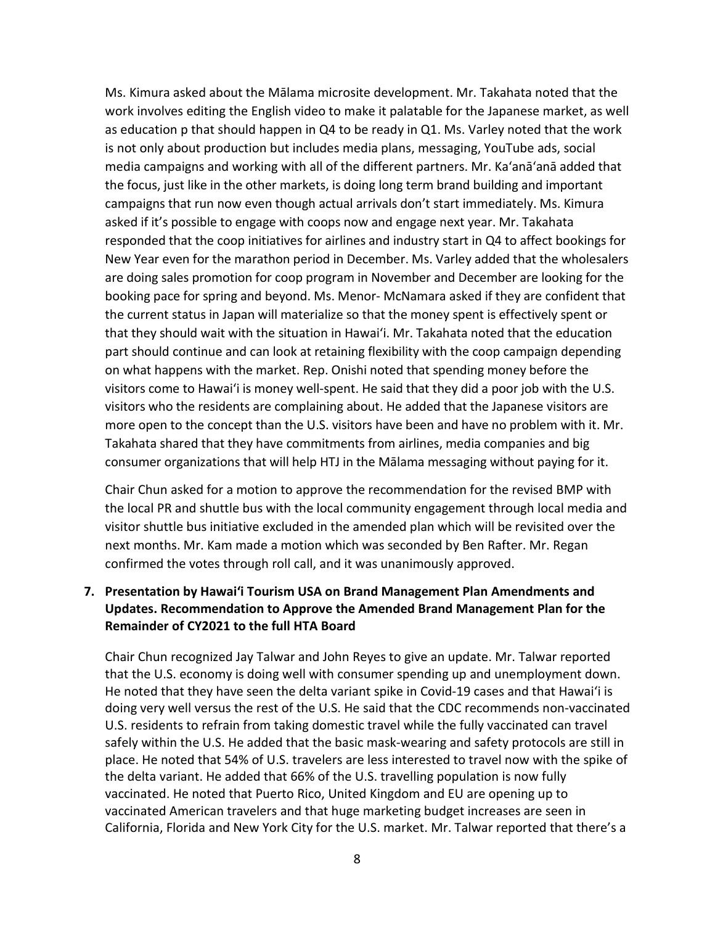Ms. Kimura asked about the Mālama microsite development. Mr. Takahata noted that the work involves editing the English video to make it palatable for the Japanese market, as well as education p that should happen in Q4 to be ready in Q1. Ms. Varley noted that the work is not only about production but includes media plans, messaging, YouTube ads, social media campaigns and working with all of the different partners. Mr. Ka'anā'anā added that the focus, just like in the other markets, is doing long term brand building and important campaigns that run now even though actual arrivals don't start immediately. Ms. Kimura asked if it's possible to engage with coops now and engage next year. Mr. Takahata responded that the coop initiatives for airlines and industry start in Q4 to affect bookings for New Year even for the marathon period in December. Ms. Varley added that the wholesalers are doing sales promotion for coop program in November and December are looking for the booking pace for spring and beyond. Ms. Menor- McNamara asked if they are confident that the current status in Japan will materialize so that the money spent is effectively spent or that they should wait with the situation in Hawaiʻi. Mr. Takahata noted that the education part should continue and can look at retaining flexibility with the coop campaign depending on what happens with the market. Rep. Onishi noted that spending money before the visitors come to Hawaiʻi is money well-spent. He said that they did a poor job with the U.S. visitors who the residents are complaining about. He added that the Japanese visitors are more open to the concept than the U.S. visitors have been and have no problem with it. Mr. Takahata shared that they have commitments from airlines, media companies and big consumer organizations that will help HTJ in the Mālama messaging without paying for it.

Chair Chun asked for a motion to approve the recommendation for the revised BMP with the local PR and shuttle bus with the local community engagement through local media and visitor shuttle bus initiative excluded in the amended plan which will be revisited over the next months. Mr. Kam made a motion which was seconded by Ben Rafter. Mr. Regan confirmed the votes through roll call, and it was unanimously approved.

## **7. Presentation by Hawai'i Tourism USA on Brand Management Plan Amendments and Updates. Recommendation to Approve the Amended Brand Management Plan for the Remainder of CY2021 to the full HTA Board**

Chair Chun recognized Jay Talwar and John Reyes to give an update. Mr. Talwar reported that the U.S. economy is doing well with consumer spending up and unemployment down. He noted that they have seen the delta variant spike in Covid-19 cases and that Hawaiʻi is doing very well versus the rest of the U.S. He said that the CDC recommends non-vaccinated U.S. residents to refrain from taking domestic travel while the fully vaccinated can travel safely within the U.S. He added that the basic mask-wearing and safety protocols are still in place. He noted that 54% of U.S. travelers are less interested to travel now with the spike of the delta variant. He added that 66% of the U.S. travelling population is now fully vaccinated. He noted that Puerto Rico, United Kingdom and EU are opening up to vaccinated American travelers and that huge marketing budget increases are seen in California, Florida and New York City for the U.S. market. Mr. Talwar reported that there's a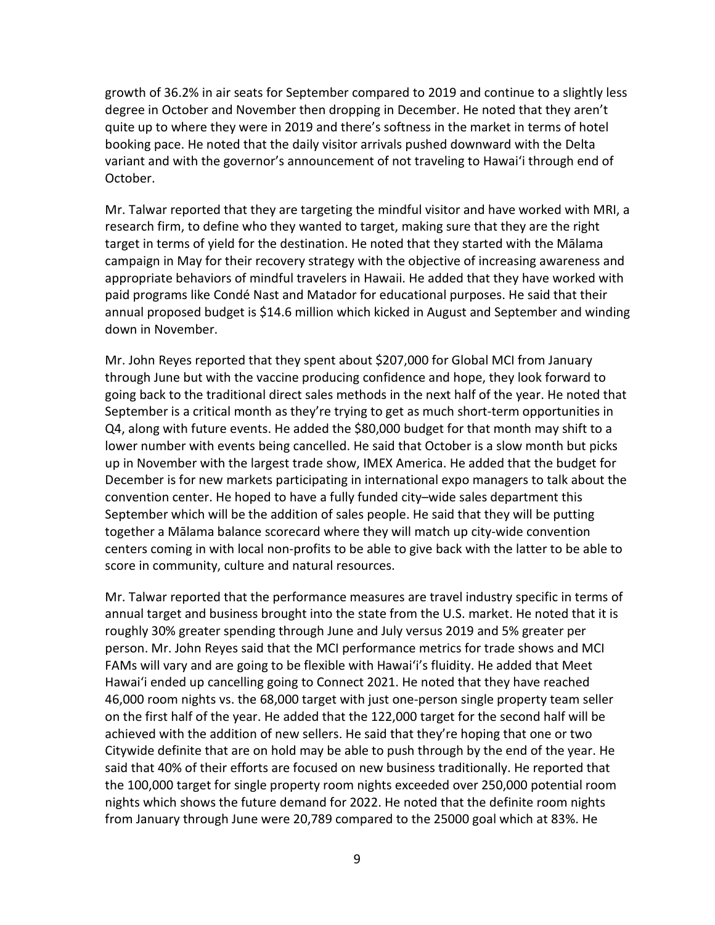growth of 36.2% in air seats for September compared to 2019 and continue to a slightly less degree in October and November then dropping in December. He noted that they aren't quite up to where they were in 2019 and there's softness in the market in terms of hotel booking pace. He noted that the daily visitor arrivals pushed downward with the Delta variant and with the governor's announcement of not traveling to Hawaiʻi through end of October.

Mr. Talwar reported that they are targeting the mindful visitor and have worked with MRI, a research firm, to define who they wanted to target, making sure that they are the right target in terms of yield for the destination. He noted that they started with the Mālama campaign in May for their recovery strategy with the objective of increasing awareness and appropriate behaviors of mindful travelers in Hawaii. He added that they have worked with paid programs like Condé Nast and Matador for educational purposes. He said that their annual proposed budget is \$14.6 million which kicked in August and September and winding down in November.

Mr. John Reyes reported that they spent about \$207,000 for Global MCI from January through June but with the vaccine producing confidence and hope, they look forward to going back to the traditional direct sales methods in the next half of the year. He noted that September is a critical month as they're trying to get as much short-term opportunities in Q4, along with future events. He added the \$80,000 budget for that month may shift to a lower number with events being cancelled. He said that October is a slow month but picks up in November with the largest trade show, IMEX America. He added that the budget for December is for new markets participating in international expo managers to talk about the convention center. He hoped to have a fully funded city–wide sales department this September which will be the addition of sales people. He said that they will be putting together a Mālama balance scorecard where they will match up city-wide convention centers coming in with local non-profits to be able to give back with the latter to be able to score in community, culture and natural resources.

Mr. Talwar reported that the performance measures are travel industry specific in terms of annual target and business brought into the state from the U.S. market. He noted that it is roughly 30% greater spending through June and July versus 2019 and 5% greater per person. Mr. John Reyes said that the MCI performance metrics for trade shows and MCI FAMs will vary and are going to be flexible with Hawaiʻi's fluidity. He added that Meet Hawaiʻi ended up cancelling going to Connect 2021. He noted that they have reached 46,000 room nights vs. the 68,000 target with just one-person single property team seller on the first half of the year. He added that the 122,000 target for the second half will be achieved with the addition of new sellers. He said that they're hoping that one or two Citywide definite that are on hold may be able to push through by the end of the year. He said that 40% of their efforts are focused on new business traditionally. He reported that the 100,000 target for single property room nights exceeded over 250,000 potential room nights which shows the future demand for 2022. He noted that the definite room nights from January through June were 20,789 compared to the 25000 goal which at 83%. He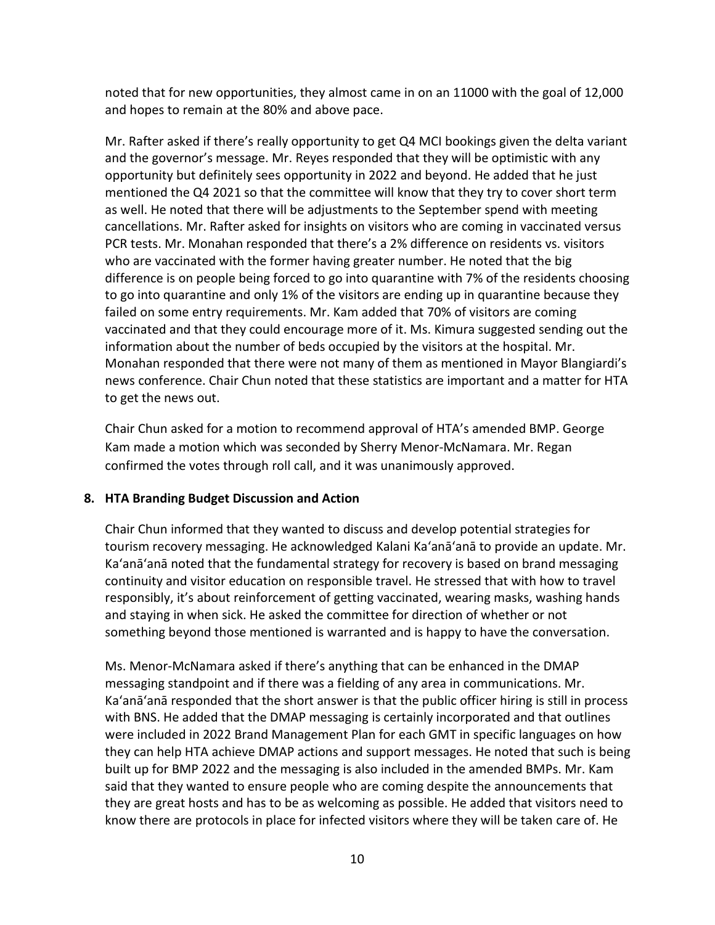noted that for new opportunities, they almost came in on an 11000 with the goal of 12,000 and hopes to remain at the 80% and above pace.

Mr. Rafter asked if there's really opportunity to get Q4 MCI bookings given the delta variant and the governor's message. Mr. Reyes responded that they will be optimistic with any opportunity but definitely sees opportunity in 2022 and beyond. He added that he just mentioned the Q4 2021 so that the committee will know that they try to cover short term as well. He noted that there will be adjustments to the September spend with meeting cancellations. Mr. Rafter asked for insights on visitors who are coming in vaccinated versus PCR tests. Mr. Monahan responded that there's a 2% difference on residents vs. visitors who are vaccinated with the former having greater number. He noted that the big difference is on people being forced to go into quarantine with 7% of the residents choosing to go into quarantine and only 1% of the visitors are ending up in quarantine because they failed on some entry requirements. Mr. Kam added that 70% of visitors are coming vaccinated and that they could encourage more of it. Ms. Kimura suggested sending out the information about the number of beds occupied by the visitors at the hospital. Mr. Monahan responded that there were not many of them as mentioned in Mayor Blangiardi's news conference. Chair Chun noted that these statistics are important and a matter for HTA to get the news out.

Chair Chun asked for a motion to recommend approval of HTA's amended BMP. George Kam made a motion which was seconded by Sherry Menor-McNamara. Mr. Regan confirmed the votes through roll call, and it was unanimously approved.

## **8. HTA Branding Budget Discussion and Action**

Chair Chun informed that they wanted to discuss and develop potential strategies for tourism recovery messaging. He acknowledged Kalani Ka'anā'anā to provide an update. Mr. Ka'anā'anā noted that the fundamental strategy for recovery is based on brand messaging continuity and visitor education on responsible travel. He stressed that with how to travel responsibly, it's about reinforcement of getting vaccinated, wearing masks, washing hands and staying in when sick. He asked the committee for direction of whether or not something beyond those mentioned is warranted and is happy to have the conversation.

Ms. Menor-McNamara asked if there's anything that can be enhanced in the DMAP messaging standpoint and if there was a fielding of any area in communications. Mr. Ka'anā'anā responded that the short answer is that the public officer hiring is still in process with BNS. He added that the DMAP messaging is certainly incorporated and that outlines were included in 2022 Brand Management Plan for each GMT in specific languages on how they can help HTA achieve DMAP actions and support messages. He noted that such is being built up for BMP 2022 and the messaging is also included in the amended BMPs. Mr. Kam said that they wanted to ensure people who are coming despite the announcements that they are great hosts and has to be as welcoming as possible. He added that visitors need to know there are protocols in place for infected visitors where they will be taken care of. He